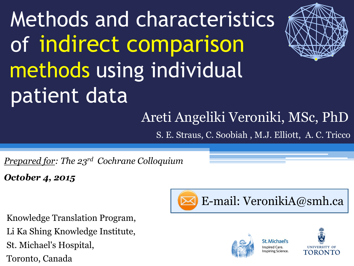# Methods and characteristics of indirect comparison methods using individual patient data



## Areti Angeliki Veroniki, MSc, PhD

S. E. Straus, C. Soobiah , M.J. Elliott, A. C. Tricco

*Prepared for: The 23rd Cochrane Colloquium*

*October 4, 2015*

Knowledge Translation Program, Li Ka Shing Knowledge Institute, St. Michael's Hospital, Toronto, Canada







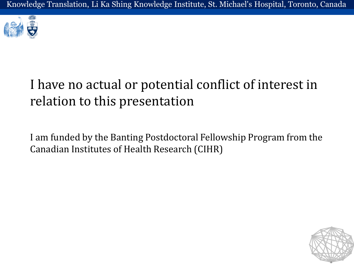

## I have no actual or potential conflict of interest in relation to this presentation

I am funded by the Banting Postdoctoral Fellowship Program from the Canadian Institutes of Health Research (CIHR)

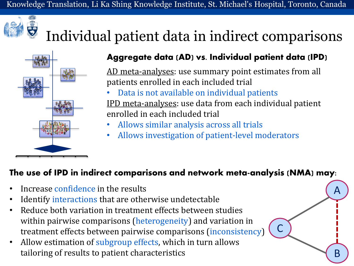

## Individual patient data in indirect comparisons



#### **Aggregate data (AD) vs. Individual patient data (IPD)**

AD meta-analyses: use summary point estimates from all patients enrolled in each included trial

• Data is not available on individual patients IPD meta-analyses: use data from each individual patient enrolled in each included trial

A

B

C

- Allows similar analysis across all trials
- Allows investigation of patient-level moderators

#### **The use of IPD in indirect comparisons and network meta-analysis (NMA) may:**

- Increase confidence in the results
- Identify interactions that are otherwise undetectable
- Reduce both variation in treatment effects between studies within pairwise comparisons (heterogeneity) and variation in treatment effects between pairwise comparisons (inconsistency)
- Allow estimation of subgroup effects, which in turn allows tailoring of results to patient characteristics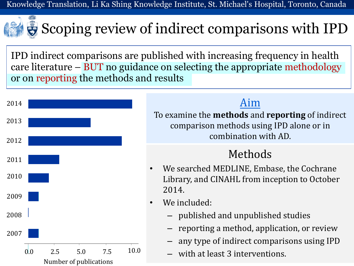Knowledge Translation, Li Ka Shing Knowledge Institute, St. Michael's Hospital, Toronto, Canada

## Scoping review of indirect comparisons with IPD

IPD indirect comparisons are published with increasing frequency in health care literature – BUT no guidance on selecting the appropriate methodology or on reporting the methods and results



#### Aim

To examine the **methods** and **reporting** of indirect comparison methods using IPD alone or in combination with AD.

### Methods

- We searched MEDLINE, Embase, the Cochrane Library, and CINAHL from inception to October 2014.
- We included:
	- published and unpublished studies
	- reporting a method, application, or review
	- any type of indirect comparisons using IPD
	- with at least 3 interventions.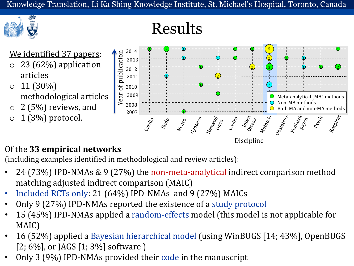Results



#### We identified 37 papers:

 $23$  (62%) application articles

#### $0 \ 11 (30\%)$ methodological articles

- $\circ$  2 (5%) reviews, and
- $\circ$  1 (3%) protocol.



#### Of the **33 empirical networks**

(including examples identified in methodological and review articles):

- 24 (73%) IPD-NMAs & 9 (27%) the non-meta-analytical indirect comparison method matching adjusted indirect comparison (MAIC)
- Included RCTs only: 21 (64%) IPD-NMAs and 9 (27%) MAICs
- Only 9 (27%) IPD-NMAs reported the existence of a study protocol
- 15 (45%) IPD-NMAs applied a random-effects model (this model is not applicable for MAIC)
- 16 (52%) applied a Bayesian hierarchical model (using WinBUGS [14; 43%], OpenBUGS  $[2; 6\%]$ , or JAGS  $[1; 3\%]$  software )
- Only 3 (9%) IPD-NMAs provided their code in the manuscript